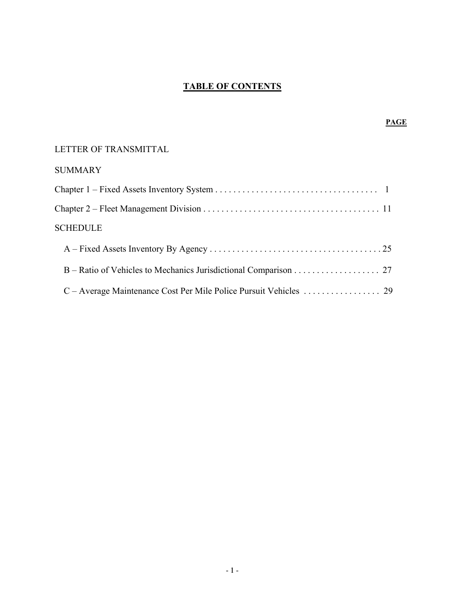# **TABLE OF CONTENTS**

# LETTER OF TRANSMITTAL

# SUMMARY

| <b>SCHEDULE</b> |  |
|-----------------|--|
|                 |  |
|                 |  |
|                 |  |

# **PAGE**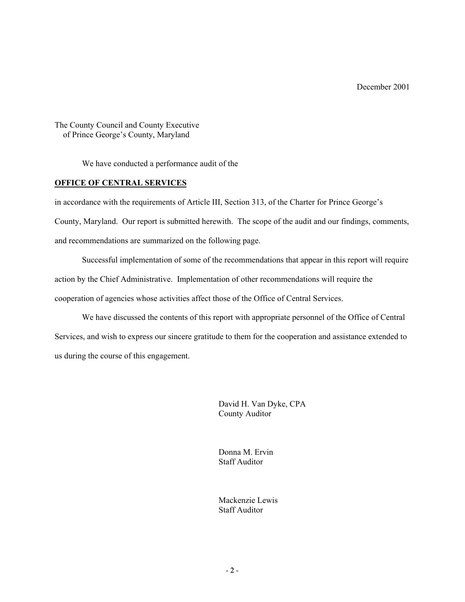The County Council and County Executive of Prince George's County, Maryland

We have conducted a performance audit of the

### **OFFICE OF CENTRAL SERVICES**

in accordance with the requirements of Article III, Section 313, of the Charter for Prince George's County, Maryland. Our report is submitted herewith. The scope of the audit and our findings, comments, and recommendations are summarized on the following page.

Successful implementation of some of the recommendations that appear in this report will require action by the Chief Administrative. Implementation of other recommendations will require the cooperation of agencies whose activities affect those of the Office of Central Services.

We have discussed the contents of this report with appropriate personnel of the Office of Central Services, and wish to express our sincere gratitude to them for the cooperation and assistance extended to us during the course of this engagement.

> David H. Van Dyke, CPA County Auditor

Donna M. Ervin Staff Auditor

Mackenzie Lewis Staff Auditor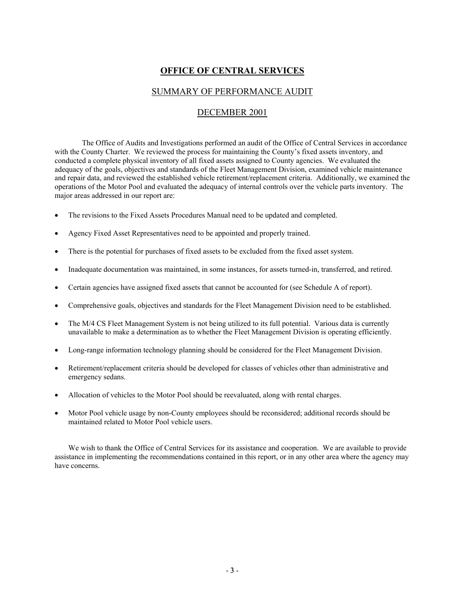# **OFFICE OF CENTRAL SERVICES**

## SUMMARY OF PERFORMANCE AUDIT

## DECEMBER 2001

The Office of Audits and Investigations performed an audit of the Office of Central Services in accordance with the County Charter. We reviewed the process for maintaining the County's fixed assets inventory, and conducted a complete physical inventory of all fixed assets assigned to County agencies. We evaluated the adequacy of the goals, objectives and standards of the Fleet Management Division, examined vehicle maintenance and repair data, and reviewed the established vehicle retirement/replacement criteria. Additionally, we examined the operations of the Motor Pool and evaluated the adequacy of internal controls over the vehicle parts inventory. The major areas addressed in our report are:

- The revisions to the Fixed Assets Procedures Manual need to be updated and completed.
- Agency Fixed Asset Representatives need to be appointed and properly trained.
- There is the potential for purchases of fixed assets to be excluded from the fixed asset system.
- Inadequate documentation was maintained, in some instances, for assets turned-in, transferred, and retired.
- Certain agencies have assigned fixed assets that cannot be accounted for (see Schedule A of report).
- Comprehensive goals, objectives and standards for the Fleet Management Division need to be established.
- The M/4 CS Fleet Management System is not being utilized to its full potential. Various data is currently unavailable to make a determination as to whether the Fleet Management Division is operating efficiently.
- Long-range information technology planning should be considered for the Fleet Management Division.
- Retirement/replacement criteria should be developed for classes of vehicles other than administrative and emergency sedans.
- Allocation of vehicles to the Motor Pool should be reevaluated, along with rental charges.
- Motor Pool vehicle usage by non-County employees should be reconsidered; additional records should be maintained related to Motor Pool vehicle users.

We wish to thank the Office of Central Services for its assistance and cooperation. We are available to provide assistance in implementing the recommendations contained in this report, or in any other area where the agency may have concerns.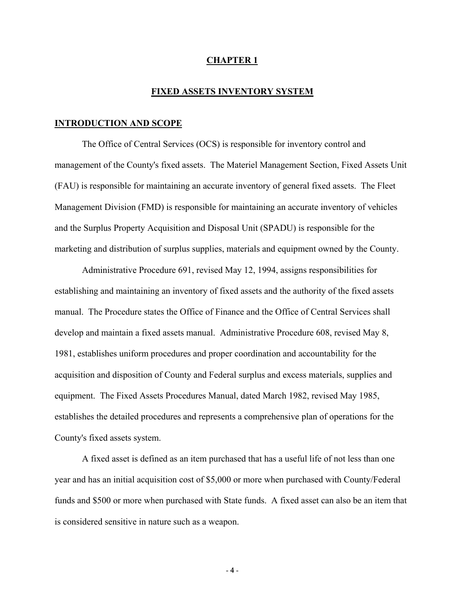### **CHAPTER 1**

#### **FIXED ASSETS INVENTORY SYSTEM**

#### **INTRODUCTION AND SCOPE**

The Office of Central Services (OCS) is responsible for inventory control and management of the County's fixed assets. The Materiel Management Section, Fixed Assets Unit (FAU) is responsible for maintaining an accurate inventory of general fixed assets. The Fleet Management Division (FMD) is responsible for maintaining an accurate inventory of vehicles and the Surplus Property Acquisition and Disposal Unit (SPADU) is responsible for the marketing and distribution of surplus supplies, materials and equipment owned by the County.

Administrative Procedure 691, revised May 12, 1994, assigns responsibilities for establishing and maintaining an inventory of fixed assets and the authority of the fixed assets manual. The Procedure states the Office of Finance and the Office of Central Services shall develop and maintain a fixed assets manual. Administrative Procedure 608, revised May 8, 1981, establishes uniform procedures and proper coordination and accountability for the acquisition and disposition of County and Federal surplus and excess materials, supplies and equipment. The Fixed Assets Procedures Manual, dated March 1982, revised May 1985, establishes the detailed procedures and represents a comprehensive plan of operations for the County's fixed assets system.

A fixed asset is defined as an item purchased that has a useful life of not less than one year and has an initial acquisition cost of \$5,000 or more when purchased with County/Federal funds and \$500 or more when purchased with State funds. A fixed asset can also be an item that is considered sensitive in nature such as a weapon.

 $-4 -$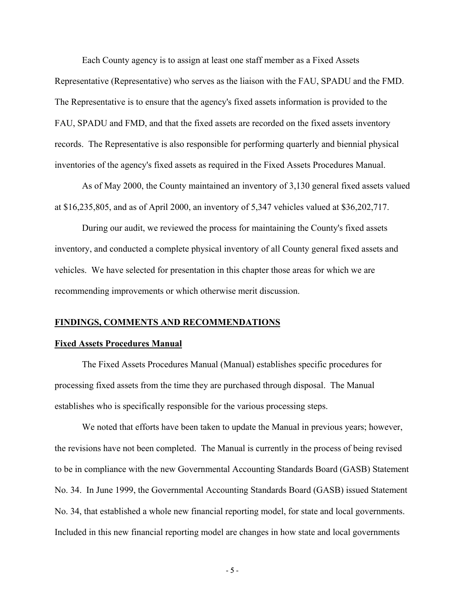Each County agency is to assign at least one staff member as a Fixed Assets

Representative (Representative) who serves as the liaison with the FAU, SPADU and the FMD. The Representative is to ensure that the agency's fixed assets information is provided to the FAU, SPADU and FMD, and that the fixed assets are recorded on the fixed assets inventory records. The Representative is also responsible for performing quarterly and biennial physical inventories of the agency's fixed assets as required in the Fixed Assets Procedures Manual.

As of May 2000, the County maintained an inventory of 3,130 general fixed assets valued at \$16,235,805, and as of April 2000, an inventory of 5,347 vehicles valued at \$36,202,717.

During our audit, we reviewed the process for maintaining the County's fixed assets inventory, and conducted a complete physical inventory of all County general fixed assets and vehicles. We have selected for presentation in this chapter those areas for which we are recommending improvements or which otherwise merit discussion.

### **FINDINGS, COMMENTS AND RECOMMENDATIONS**

#### **Fixed Assets Procedures Manual**

The Fixed Assets Procedures Manual (Manual) establishes specific procedures for processing fixed assets from the time they are purchased through disposal. The Manual establishes who is specifically responsible for the various processing steps.

We noted that efforts have been taken to update the Manual in previous years; however, the revisions have not been completed. The Manual is currently in the process of being revised to be in compliance with the new Governmental Accounting Standards Board (GASB) Statement No. 34. In June 1999, the Governmental Accounting Standards Board (GASB) issued Statement No. 34, that established a whole new financial reporting model, for state and local governments. Included in this new financial reporting model are changes in how state and local governments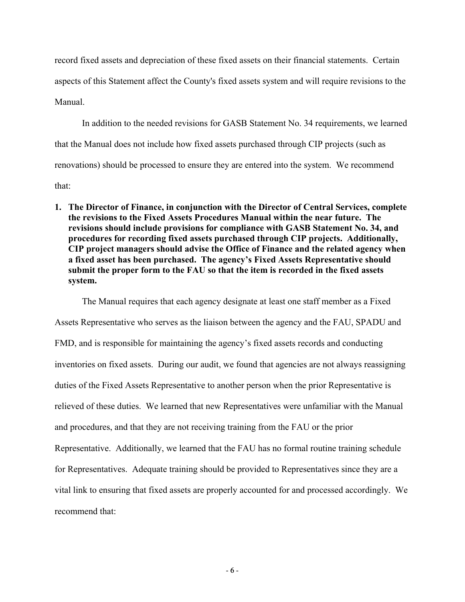record fixed assets and depreciation of these fixed assets on their financial statements. Certain aspects of this Statement affect the County's fixed assets system and will require revisions to the Manual.

In addition to the needed revisions for GASB Statement No. 34 requirements, we learned that the Manual does not include how fixed assets purchased through CIP projects (such as renovations) should be processed to ensure they are entered into the system. We recommend that:

**1. The Director of Finance, in conjunction with the Director of Central Services, complete the revisions to the Fixed Assets Procedures Manual within the near future. The revisions should include provisions for compliance with GASB Statement No. 34, and procedures for recording fixed assets purchased through CIP projects. Additionally, CIP project managers should advise the Office of Finance and the related agency when a fixed asset has been purchased. The agency's Fixed Assets Representative should submit the proper form to the FAU so that the item is recorded in the fixed assets system.**

The Manual requires that each agency designate at least one staff member as a Fixed

Assets Representative who serves as the liaison between the agency and the FAU, SPADU and FMD, and is responsible for maintaining the agency's fixed assets records and conducting inventories on fixed assets. During our audit, we found that agencies are not always reassigning duties of the Fixed Assets Representative to another person when the prior Representative is relieved of these duties. We learned that new Representatives were unfamiliar with the Manual and procedures, and that they are not receiving training from the FAU or the prior Representative. Additionally, we learned that the FAU has no formal routine training schedule for Representatives. Adequate training should be provided to Representatives since they are a vital link to ensuring that fixed assets are properly accounted for and processed accordingly. We recommend that: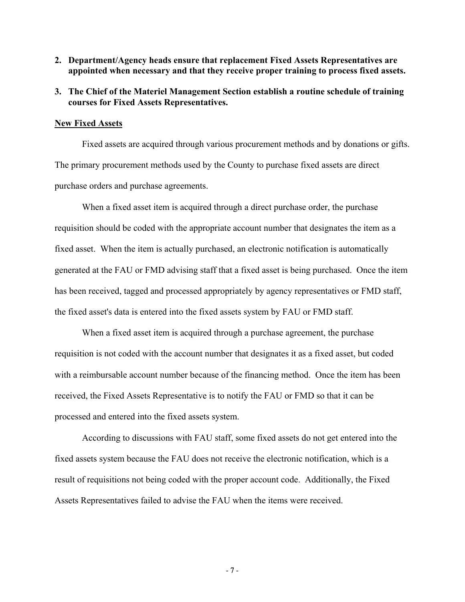**2. Department/Agency heads ensure that replacement Fixed Assets Representatives are appointed when necessary and that they receive proper training to process fixed assets.**

# **3. The Chief of the Materiel Management Section establish a routine schedule of training courses for Fixed Assets Representatives.**

#### **New Fixed Assets**

Fixed assets are acquired through various procurement methods and by donations or gifts. The primary procurement methods used by the County to purchase fixed assets are direct purchase orders and purchase agreements.

When a fixed asset item is acquired through a direct purchase order, the purchase requisition should be coded with the appropriate account number that designates the item as a fixed asset. When the item is actually purchased, an electronic notification is automatically generated at the FAU or FMD advising staff that a fixed asset is being purchased. Once the item has been received, tagged and processed appropriately by agency representatives or FMD staff, the fixed asset's data is entered into the fixed assets system by FAU or FMD staff.

When a fixed asset item is acquired through a purchase agreement, the purchase requisition is not coded with the account number that designates it as a fixed asset, but coded with a reimbursable account number because of the financing method. Once the item has been received, the Fixed Assets Representative is to notify the FAU or FMD so that it can be processed and entered into the fixed assets system.

According to discussions with FAU staff, some fixed assets do not get entered into the fixed assets system because the FAU does not receive the electronic notification, which is a result of requisitions not being coded with the proper account code. Additionally, the Fixed Assets Representatives failed to advise the FAU when the items were received.

- 7 -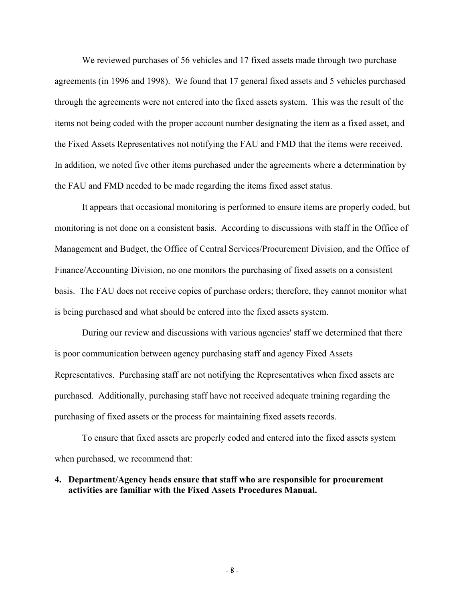We reviewed purchases of 56 vehicles and 17 fixed assets made through two purchase agreements (in 1996 and 1998). We found that 17 general fixed assets and 5 vehicles purchased through the agreements were not entered into the fixed assets system. This was the result of the items not being coded with the proper account number designating the item as a fixed asset, and the Fixed Assets Representatives not notifying the FAU and FMD that the items were received. In addition, we noted five other items purchased under the agreements where a determination by the FAU and FMD needed to be made regarding the items fixed asset status.

It appears that occasional monitoring is performed to ensure items are properly coded, but monitoring is not done on a consistent basis. According to discussions with staff in the Office of Management and Budget, the Office of Central Services/Procurement Division, and the Office of Finance/Accounting Division, no one monitors the purchasing of fixed assets on a consistent basis. The FAU does not receive copies of purchase orders; therefore, they cannot monitor what is being purchased and what should be entered into the fixed assets system.

During our review and discussions with various agencies' staff we determined that there is poor communication between agency purchasing staff and agency Fixed Assets Representatives. Purchasing staff are not notifying the Representatives when fixed assets are purchased. Additionally, purchasing staff have not received adequate training regarding the purchasing of fixed assets or the process for maintaining fixed assets records.

To ensure that fixed assets are properly coded and entered into the fixed assets system when purchased, we recommend that:

## **4. Department/Agency heads ensure that staff who are responsible for procurement activities are familiar with the Fixed Assets Procedures Manual.**

- 8 -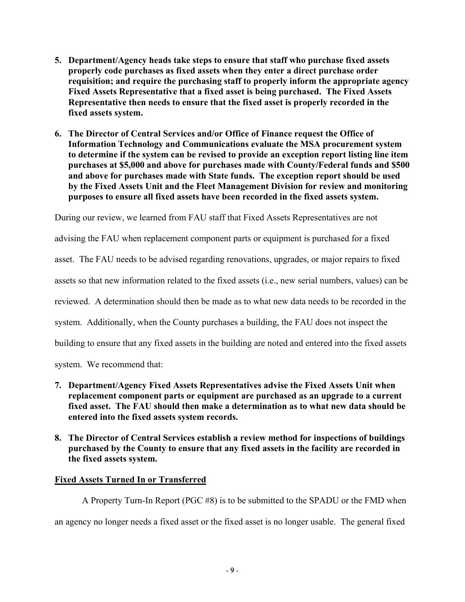- **5. Department/Agency heads take steps to ensure that staff who purchase fixed assets properly code purchases as fixed assets when they enter a direct purchase order requisition; and require the purchasing staff to properly inform the appropriate agency Fixed Assets Representative that a fixed asset is being purchased. The Fixed Assets Representative then needs to ensure that the fixed asset is properly recorded in the fixed assets system.**
- **6. The Director of Central Services and/or Office of Finance request the Office of Information Technology and Communications evaluate the MSA procurement system to determine if the system can be revised to provide an exception report listing line item purchases at \$5,000 and above for purchases made with County/Federal funds and \$500 and above for purchases made with State funds. The exception report should be used by the Fixed Assets Unit and the Fleet Management Division for review and monitoring purposes to ensure all fixed assets have been recorded in the fixed assets system.**

During our review, we learned from FAU staff that Fixed Assets Representatives are not

advising the FAU when replacement component parts or equipment is purchased for a fixed

asset. The FAU needs to be advised regarding renovations, upgrades, or major repairs to fixed

assets so that new information related to the fixed assets (i.e., new serial numbers, values) can be

reviewed. A determination should then be made as to what new data needs to be recorded in the

system. Additionally, when the County purchases a building, the FAU does not inspect the

building to ensure that any fixed assets in the building are noted and entered into the fixed assets

system. We recommend that:

- **7. Department/Agency Fixed Assets Representatives advise the Fixed Assets Unit when replacement component parts or equipment are purchased as an upgrade to a current fixed asset. The FAU should then make a determination as to what new data should be entered into the fixed assets system records.**
- **8. The Director of Central Services establish a review method for inspections of buildings purchased by the County to ensure that any fixed assets in the facility are recorded in the fixed assets system.**

# **Fixed Assets Turned In or Transferred**

A Property Turn-In Report (PGC #8) is to be submitted to the SPADU or the FMD when an agency no longer needs a fixed asset or the fixed asset is no longer usable. The general fixed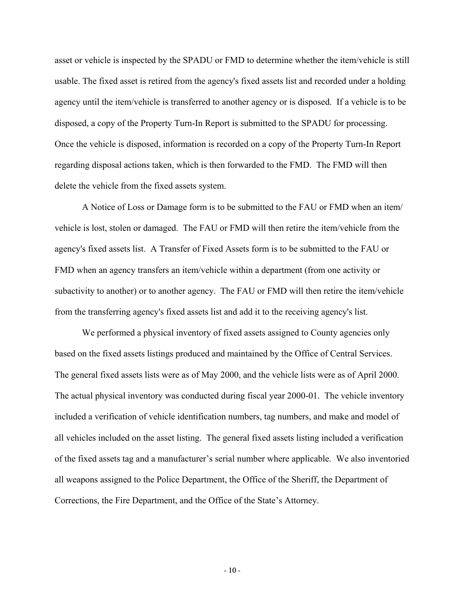asset or vehicle is inspected by the SPADU or FMD to determine whether the item/vehicle is still usable. The fixed asset is retired from the agency's fixed assets list and recorded under a holding agency until the item/vehicle is transferred to another agency or is disposed. If a vehicle is to be disposed, a copy of the Property Turn-In Report is submitted to the SPADU for processing. Once the vehicle is disposed, information is recorded on a copy of the Property Turn-In Report regarding disposal actions taken, which is then forwarded to the FMD. The FMD will then delete the vehicle from the fixed assets system.

A Notice of Loss or Damage form is to be submitted to the FAU or FMD when an item/ vehicle is lost, stolen or damaged. The FAU or FMD will then retire the item/vehicle from the agency's fixed assets list. A Transfer of Fixed Assets form is to be submitted to the FAU or FMD when an agency transfers an item/vehicle within a department (from one activity or subactivity to another) or to another agency. The FAU or FMD will then retire the item/vehicle from the transferring agency's fixed assets list and add it to the receiving agency's list.

We performed a physical inventory of fixed assets assigned to County agencies only based on the fixed assets listings produced and maintained by the Office of Central Services. The general fixed assets lists were as of May 2000, and the vehicle lists were as of April 2000. The actual physical inventory was conducted during fiscal year 2000-01. The vehicle inventory included a verification of vehicle identification numbers, tag numbers, and make and model of all vehicles included on the asset listing. The general fixed assets listing included a verification of the fixed assets tag and a manufacturer's serial number where applicable. We also inventoried all weapons assigned to the Police Department, the Office of the Sheriff, the Department of Corrections, the Fire Department, and the Office of the State's Attorney.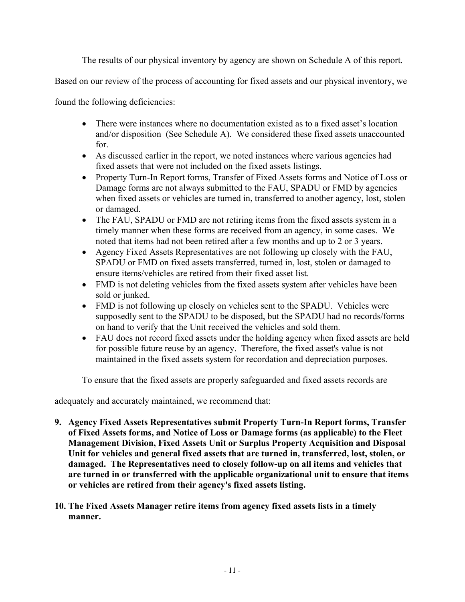The results of our physical inventory by agency are shown on Schedule A of this report.

Based on our review of the process of accounting for fixed assets and our physical inventory, we

found the following deficiencies:

- There were instances where no documentation existed as to a fixed asset's location and/or disposition (See Schedule A). We considered these fixed assets unaccounted for.
- As discussed earlier in the report, we noted instances where various agencies had fixed assets that were not included on the fixed assets listings.
- Property Turn-In Report forms, Transfer of Fixed Assets forms and Notice of Loss or Damage forms are not always submitted to the FAU, SPADU or FMD by agencies when fixed assets or vehicles are turned in, transferred to another agency, lost, stolen or damaged.
- The FAU, SPADU or FMD are not retiring items from the fixed assets system in a timely manner when these forms are received from an agency, in some cases. We noted that items had not been retired after a few months and up to 2 or 3 years.
- Agency Fixed Assets Representatives are not following up closely with the FAU, SPADU or FMD on fixed assets transferred, turned in, lost, stolen or damaged to ensure items/vehicles are retired from their fixed asset list.
- FMD is not deleting vehicles from the fixed assets system after vehicles have been sold or junked.
- FMD is not following up closely on vehicles sent to the SPADU. Vehicles were supposedly sent to the SPADU to be disposed, but the SPADU had no records/forms on hand to verify that the Unit received the vehicles and sold them.
- FAU does not record fixed assets under the holding agency when fixed assets are held for possible future reuse by an agency. Therefore, the fixed asset's value is not maintained in the fixed assets system for recordation and depreciation purposes.

To ensure that the fixed assets are properly safeguarded and fixed assets records are

adequately and accurately maintained, we recommend that:

- **9. Agency Fixed Assets Representatives submit Property Turn-In Report forms, Transfer of Fixed Assets forms, and Notice of Loss or Damage forms (as applicable) to the Fleet Management Division, Fixed Assets Unit or Surplus Property Acquisition and Disposal Unit for vehicles and general fixed assets that are turned in, transferred, lost, stolen, or damaged. The Representatives need to closely follow-up on all items and vehicles that are turned in or transferred with the applicable organizational unit to ensure that items or vehicles are retired from their agency's fixed assets listing.**
- **10. The Fixed Assets Manager retire items from agency fixed assets lists in a timely manner.**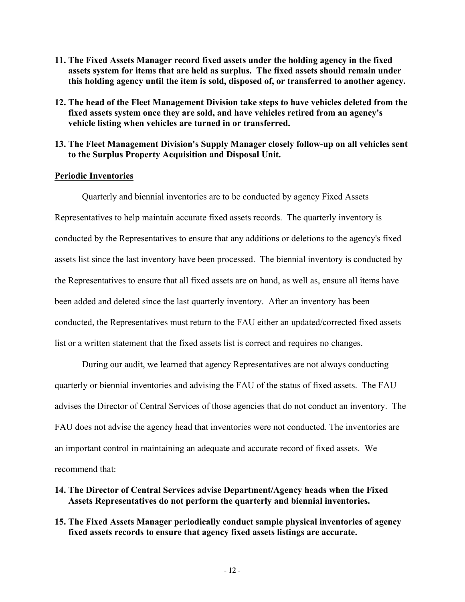- **11. The Fixed Assets Manager record fixed assets under the holding agency in the fixed assets system for items that are held as surplus. The fixed assets should remain under this holding agency until the item is sold, disposed of, or transferred to another agency.**
- **12. The head of the Fleet Management Division take steps to have vehicles deleted from the fixed assets system once they are sold, and have vehicles retired from an agency's vehicle listing when vehicles are turned in or transferred.**
- **13. The Fleet Management Division's Supply Manager closely follow-up on all vehicles sent to the Surplus Property Acquisition and Disposal Unit.**

## **Periodic Inventories**

Quarterly and biennial inventories are to be conducted by agency Fixed Assets Representatives to help maintain accurate fixed assets records. The quarterly inventory is conducted by the Representatives to ensure that any additions or deletions to the agency's fixed assets list since the last inventory have been processed. The biennial inventory is conducted by the Representatives to ensure that all fixed assets are on hand, as well as, ensure all items have been added and deleted since the last quarterly inventory. After an inventory has been conducted, the Representatives must return to the FAU either an updated/corrected fixed assets list or a written statement that the fixed assets list is correct and requires no changes.

During our audit, we learned that agency Representatives are not always conducting quarterly or biennial inventories and advising the FAU of the status of fixed assets. The FAU advises the Director of Central Services of those agencies that do not conduct an inventory. The FAU does not advise the agency head that inventories were not conducted. The inventories are an important control in maintaining an adequate and accurate record of fixed assets. We recommend that:

- **14. The Director of Central Services advise Department/Agency heads when the Fixed Assets Representatives do not perform the quarterly and biennial inventories.**
- **15. The Fixed Assets Manager periodically conduct sample physical inventories of agency fixed assets records to ensure that agency fixed assets listings are accurate.**